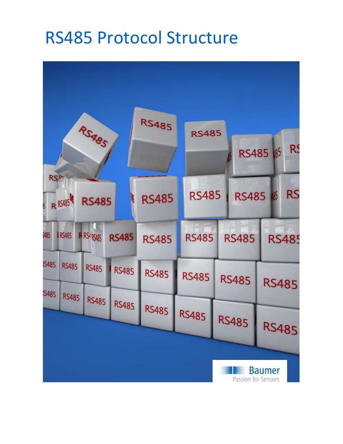# RS485 Protocol Structure

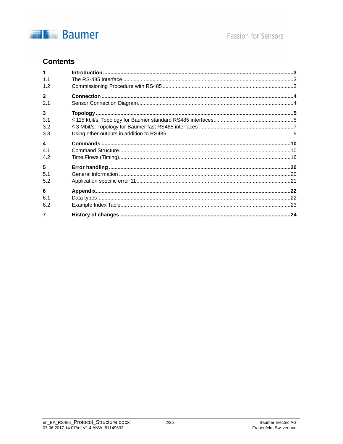

## **Contents**

| 1.1              |  |
|------------------|--|
| 1.2              |  |
| $\mathbf{2}$     |  |
| 2.1              |  |
| 3                |  |
| 3.1              |  |
| 3.2              |  |
| 3.3              |  |
| $\boldsymbol{4}$ |  |
| 4.1              |  |
| 4.2              |  |
| 5                |  |
| 5.1              |  |
| 5.2              |  |
| 6                |  |
| 6.1              |  |
| 6.2              |  |
|                  |  |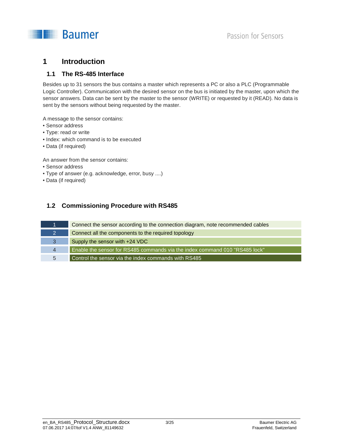

## **1 Introduction**

### **1.1 The RS-485 Interface**

Besides up to 31 sensors the bus contains a master which represents a PC or also a PLC (Programmable Logic Controller). Communication with the desired sensor on the bus is initiated by the master, upon which the sensor answers. Data can be sent by the master to the sensor (WRITE) or requested by it (READ). No data is sent by the sensors without being requested by the master.

A message to the sensor contains:

- Sensor address
- Type: read or write
- Index: which command is to be executed
- Data (if required)

An answer from the sensor contains:

- Sensor address
- Type of answer (e.g. acknowledge, error, busy ....)
- Data (if required)

## **1.2 Commissioning Procedure with RS485**

|   | Connect the sensor according to the connection diagram, note recommended cables |
|---|---------------------------------------------------------------------------------|
|   | Connect all the components to the required topology                             |
| 3 | Supply the sensor with +24 VDC                                                  |
| 4 | Enable the sensor for RS485 commands via the index command 010 "RS485 lock"     |
| 5 | Control the sensor via the index commands with RS485                            |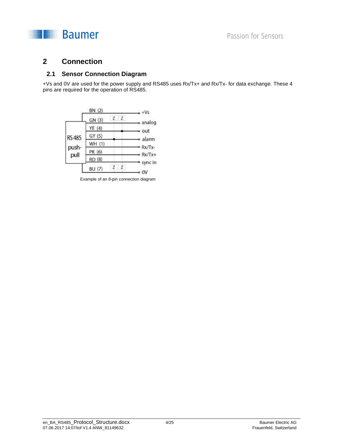

## **2 Connection**

### **2.1 Sensor Connection Diagram**

+Vs and 0V are used for the power supply and RS485 uses Rx/Tx+ and Rx/Tx- for data exchange. These 4 pins are required for the operation of RS485.



Example of an 8-pin connection diagram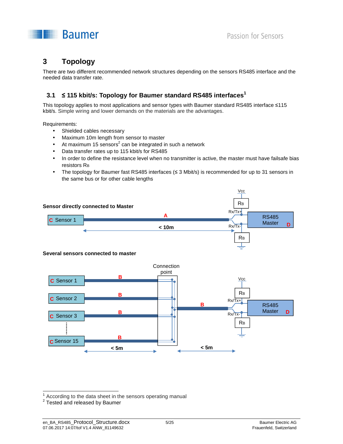

## **3 Topology**

There are two different recommended network structures depending on the sensors RS485 interface and the needed data transfer rate.

## **3.1 ≤ 115 kbit/s: Topology for Baumer standard RS485 interfaces<sup>1</sup>**

This topology applies to most applications and sensor types with Baumer standard RS485 interface ≤115 kbit/s. Simple wiring and lower demands on the materials are the advantages.

Requirements:

- Shielded cables necessary
- Maximum 10m length from sensor to master
- At maximum 15 sensors<sup>2</sup> can be integrated in such a network
- Data transfer rates up to 115 kbit/s for RS485
- In order to define the resistance level when no transmitter is active, the master must have failsafe bias resistors R<sub>B</sub>
- The topology for Baumer fast RS485 interfaces (≤ 3 Mbit/s) is recommended for up to 31 sensors in the same bus or for other cable lengths



1

According to the data sheet in the sensors operating manual

 $2$  Tested and released by Baumer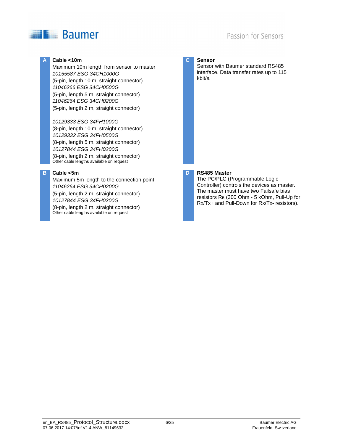## Passion for Sensors

## **Baumer**

#### **A Cable <10m**

Maximum 10m length from sensor to master 10155587 ESG 34CH1000G (5-pin, length 10 m, straight connector) 11046266 ESG 34CH0500G (5-pin, length 5 m, straight connector) 11046264 ESG 34CH0200G (5-pin, length 2 m, straight connector)

#### 10129333 ESG 34FH1000G

(8-pin, length 10 m, straight connector) 10129332 ESG 34FH0500G (8-pin, length 5 m, straight connector) 10127844 ESG 34FH0200G (8-pin, length 2 m, straight connector) Other cable lengths available on request

#### **B Cable <5m**

Maximum 5m length to the connection point 11046264 ESG 34CH0200G (5-pin, length 2 m, straight connector) 10127844 ESG 34FH0200G (8-pin, length 2 m, straight connector) Other cable lengths available on request

#### **C Sensor**

Sensor with Baumer standard RS485 interface. Data transfer rates up to 115 kbit/s.

#### **D RS485 Master**

The PC/PLC (Programmable Logic Controller) controls the devices as master. The master must have two Failsafe bias resistors RB (300 Ohm - 5 kOhm, Pull-Up for Rx/Tx+ and Pull-Down for Rx/Tx- resistors).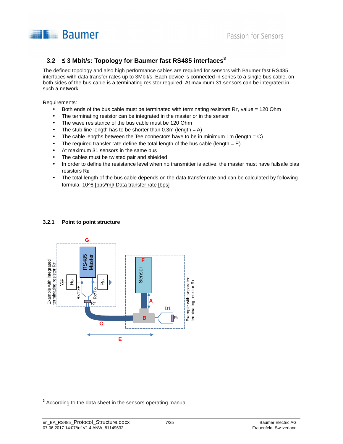

### **3.2 ≤ 3 Mbit/s: Topology for Baumer fast RS485 interfaces 3**

The defined topology and also high performance cables are required for sensors with Baumer fast RS485 interfaces with data transfer rates up to 3Mbit/s. Each device is connected in series to a single bus cable, on both sides of the bus cable is a terminating resistor required. At maximum 31 sensors can be integrated in such a network

Requirements:

- Both ends of the bus cable must be terminated with terminating resistors  $R_{\text{t}}$ , value = 120 Ohm
- The terminating resistor can be integrated in the master or in the sensor
- The wave resistance of the bus cable must be 120 Ohm
- The stub line length has to be shorter than  $0.3m$  (length  $= A$ )
- The cable lengths between the Tee connectors have to be in minimum 1m (length =  $C$ )
- The required transfer rate define the total length of the bus cable (length  $=$  E)
- At maximum 31 sensors in the same bus
- The cables must be twisted pair and shielded
- In order to define the resistance level when no transmitter is active, the master must have failsafe bias resistors R<sub>B</sub>
- The total length of the bus cable depends on the data transfer rate and can be calculated by following formula: 10^8 [bps\*m]/ Data transfer rate [bps]

#### **3.2.1 Point to point structure**



<sup>&</sup>lt;sup>3</sup> According to the data sheet in the sensors operating manual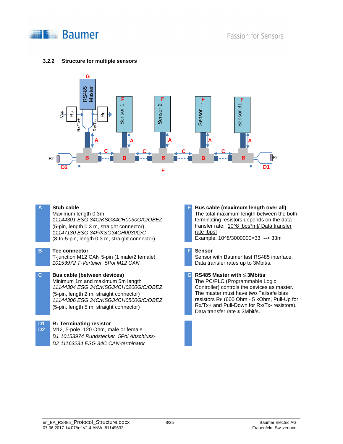

#### **3.2.2 Structure for multiple sensors**



| A                                | Stub cable<br>Maximum length 0.3m<br>11144301 ESG 34C/KSG34CH0030G/C/OBEZ<br>(5-pin, length 0.3 m, straight connector)<br>11147130 ESG 34F/KSG34CH0030G/C<br>(8-to-5-pin, length 0.3 m, straight connector)                           | Е | <b>Busc</b><br>The to<br>termin<br>transf<br><u>rate [b</u><br>Exam   |
|----------------------------------|---------------------------------------------------------------------------------------------------------------------------------------------------------------------------------------------------------------------------------------|---|-----------------------------------------------------------------------|
| в                                | Tee connector<br>T-junction M12 CAN 5-pin (1 male/2 female)<br>10153972 T-Verteiler 5Pol M12 CAN                                                                                                                                      | F | Senso<br>Sensc<br>Data t                                              |
| C                                | Bus cable (between devices)<br>Minimum 1m and maximum 5m length<br>11144304 ESG 34C/KSG34CH0200G/C/OBEZ<br>(5-pin, length 2 m, straight connector)<br>11144306 ESG 34C/KSG34CH0500G/C/OBEZ<br>(5-pin, length 5 m, straight connector) | G | <b>RS48</b><br>The P<br>Contro<br>The m<br>resisto<br>Rx/Tx<br>Data t |
| D <sub>1</sub><br>D <sub>2</sub> | R <sub>T</sub> Terminating resistor<br>M12, 5-pole, 120 Ohm, male or female<br>D1 10153974 Rundstecker 5Pol Abschluss-<br>D2 11163234 ESG 34C CAN-terminator                                                                          |   |                                                                       |

#### **Eable** (maximum length over all) tal maximum length between the both ating resistors depends on the data er rate: 10^8 [bps\*m]/ Data transfer ps] ple:  $10^{8}/3000000=33$  --> 33m

#### **F Sensor**

or with Baumer fast RS485 interface. transfer rates up to 3Mbit/s.

#### **G RS485 Master with** ≤ **3Mbit/s**

C/PLC (Programmable Logic oller) controls the devices as master. naster must have two Failsafe bias ors RB (600 Ohm - 5 kOhm, Pull-Up for + and Pull-Down for Rx/Tx- resistors). transfer rate ≤ 3Mbit/s.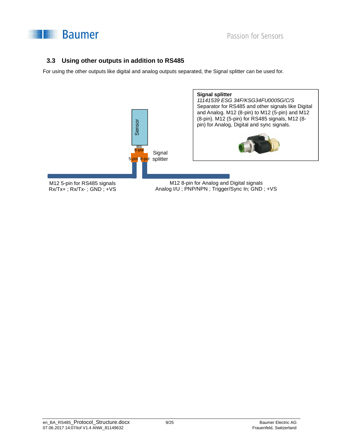

### **3.3 Using other outputs in addition to RS485**

For using the other outputs like digital and analog outputs separated, the Signal splitter can be used for.



Rx/Tx+ ; Rx/Tx- ; GND ; +VS

Analog I/U ; PNP/NPN ; Trigger/Sync In; GND ; +VS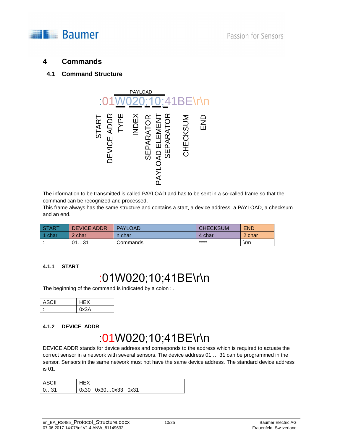



## **4 Commands**

#### **4.1 Command Structure**



The information to be transmitted is called PAYLOAD and has to be sent in a so-called frame so that the command can be recognized and processed.

This frame always has the same structure and contains a start, a device address, a PAYLOAD, a checksum and an end.

| <b>START</b> | <b>DEVICE ADDR</b> | <b>PAYLOAD</b> | <b>CHECKSUM</b> | <b>END</b> |
|--------------|--------------------|----------------|-----------------|------------|
| char         | $\angle$ char      | n char         | 4 char          | 2 char     |
|              | 0131               | Commands       | ****            | $\ln$      |

#### **4.1.1 START**

## :01W020;10;41BE\r\n

The beginning of the command is indicated by a colon : .

| <b>ASCII</b> |     |
|--------------|-----|
| ۰<br>٠       | v3A |

#### **4.1.2 DEVICE ADDR**

## :01W020;10;41BE\r\n

DEVICE ADDR stands for device address and corresponds to the address which is required to actuate the correct sensor in a network with several sensors. The device address 01 … 31 can be programmed in the sensor. Sensors in the same network must not have the same device address. The standard device address is 01.

| <b>ASCII</b> | HFX                |  |
|--------------|--------------------|--|
| 031          | 0x30 0x300x33 0x31 |  |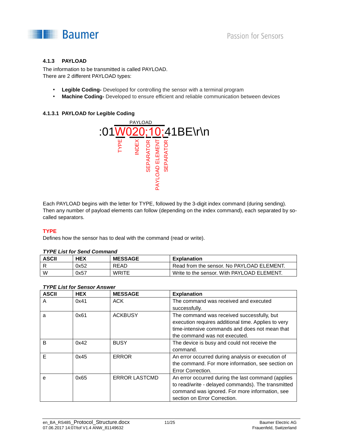

#### **4.1.3 PAYLOAD**

The information to be transmitted is called PAYLOAD. There are 2 different PAYLOAD types:

- **Legible Coding-** Developed for controlling the sensor with a terminal program
- **Machine Coding-** Developed to ensure efficient and reliable communication between devices

#### **4.1.3.1 PAYLOAD for Legible Coding**



Each PAYLOAD begins with the letter for TYPE, followed by the 3-digit index command (during sending). Then any number of payload elements can follow (depending on the index command), each separated by socalled separators.

#### **TYPE**

Defines how the sensor has to deal with the command (read or write).

#### **TYPE List for Send Command**

| <b>ASCII</b> | <b>HEX</b> | <b>MESSAGE</b> | <b>Explanation</b>                         |
|--------------|------------|----------------|--------------------------------------------|
|              | 0x52       | READ           | Read from the sensor. No PAYLOAD ELEMENT.  |
| W            | 0x57       | WRITE          | Write to the sensor. With PAYLOAD ELEMENT. |

#### **TYPE List for Sensor Answer**

| <b>ASCII</b> | <b>HEX</b> | <b>MESSAGE</b>       | <b>Explanation</b>                                                                                                                                                                         |
|--------------|------------|----------------------|--------------------------------------------------------------------------------------------------------------------------------------------------------------------------------------------|
| A            | 0x41       | ACK                  | The command was received and executed<br>successfully.                                                                                                                                     |
| a            | 0x61       | <b>ACKBUSY</b>       | The command was received successfully, but<br>execution requires additional time. Applies to very<br>time-intensive commands and does not mean that<br>the command was not executed.       |
| B            | 0x42       | <b>BUSY</b>          | The device is busy and could not receive the<br>command.                                                                                                                                   |
| Е            | 0x45       | <b>ERROR</b>         | An error occurred during analysis or execution of<br>the command. For more information, see section on<br>Error Correction.                                                                |
| е            | 0x65       | <b>ERROR LASTCMD</b> | An error occurred during the last command (applies<br>to read/write - delayed commands). The transmitted<br>command was ignored. For more information, see<br>section on Error Correction. |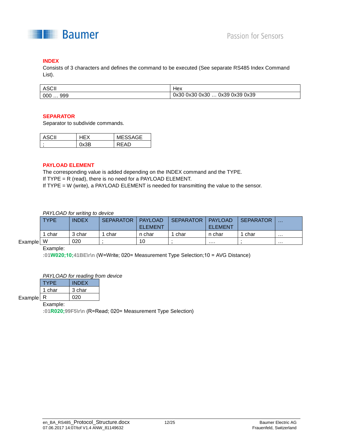

#### **INDEX**

Consists of 3 characters and defines the command to be executed (See separate RS485 Index Command List).

| <b>ASCII</b> | нех                                         |
|--------------|---------------------------------------------|
| 000<br>999   | 0x39<br>0x30<br>0x39 0x39<br>0x30 0x30<br>. |

#### **SEPARATOR**

Separator to subdivide commands.

| ASCII | ESSAGE |
|-------|--------|
|       |        |

#### **PAYLOAD ELEMENT**

The corresponding value is added depending on the INDEX command and the TYPE. If TYPE = R (read), there is no need for a PAYLOAD ELEMENT. If TYPE = W (write), a PAYLOAD ELEMENT is needed for transmitting the value to the sensor.

PAYLOAD for writing to device

|         | <b>TYPE</b> | <b>INDEX</b> | <b>SEPARATOR</b> | <b>PAYLOAD</b><br><b>ELEMENT</b> | <b>SEPARATOR</b> | <b>PAYLOAD</b><br><b>ELEMENT</b> | <b>SEPARATOR</b> | . |
|---------|-------------|--------------|------------------|----------------------------------|------------------|----------------------------------|------------------|---|
|         | char        | 3 char       | char             | n char                           | char             | n char                           | char             | . |
| Example | W           | 020          |                  | 10                               |                  | .                                |                  | . |

## Example:

**:01W020;10;41BE\r\n** (W=Write; 020= Measurement Type Selection;10 = AVG Distance)

PAYLOAD for reading from device

|           |        | <b>INDEX</b> |
|-----------|--------|--------------|
|           | 1 char | 3 char       |
| Example R |        | 020          |

Example:

**:01R020;99F5\r\n** (R=Read; 020= Measurement Type Selection)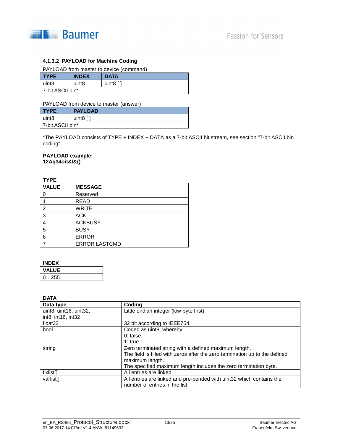

#### **4.1.3.2 PAYLOAD for Machine Coding**

#### PAYLOAD from master to device (command)

| <b>TYPE</b>       | <b>INDEX</b>      | <b>DATA</b> |  |
|-------------------|-------------------|-------------|--|
| uint <sub>8</sub> | uint <sub>8</sub> | uint8 [     |  |
| 7-bit ASCII bin*  |                   |             |  |

PAYLOAD from device to master (answer)

| I TYPE             | <b>PAYLOAD</b> |
|--------------------|----------------|
| uint <sub>8</sub>  | uint $8$ [ ]   |
| l 7-bit ASCII bin* |                |

\*The PAYLOAD consists of TYPE + INDEX + DATA as a 7-bit ASCII bit stream, see section "7-bit ASCII bin coding"

#### **PAYLOAD example: 12Aq34oit&/&()**

#### **TYPE**

| .              |                      |
|----------------|----------------------|
| <b>VALUE</b>   | <b>MESSAGE</b>       |
| 0              | Reserved             |
|                | <b>READ</b>          |
| $\overline{2}$ | <b>WRITE</b>         |
| 3              | <b>ACK</b>           |
| 4              | <b>ACKBUSY</b>       |
| 5              | <b>BUSY</b>          |
| 6              | <b>ERROR</b>         |
|                | <b>ERROR LASTCMD</b> |

#### **INDEX**

| <b>VALUE</b> |  |
|--------------|--|
| .255         |  |

|--|

| Data type              | Coding                                                                      |  |
|------------------------|-----------------------------------------------------------------------------|--|
| uint8, uint16, uint32, | Little endian integer (low byte first)                                      |  |
| int8, int16, int32     |                                                                             |  |
| float <sub>32</sub>    | 32 bit according to IEEE754                                                 |  |
| bool                   | Coded as uint8, whereby:                                                    |  |
|                        | $0:$ false                                                                  |  |
|                        | 1: true                                                                     |  |
| string                 | Zero terminated string with a defined maximum length.                       |  |
|                        | The field is filled with zeros after the zero termination up to the defined |  |
|                        | maximum length.                                                             |  |
|                        | The specified maximum length includes the zero termination byte.            |  |
| fixlist[]              | All entries are linked.                                                     |  |
| varlist <sup>[]</sup>  | All entries are linked and pre-pended with uint32 which contains the        |  |
|                        | number of entries in the list.                                              |  |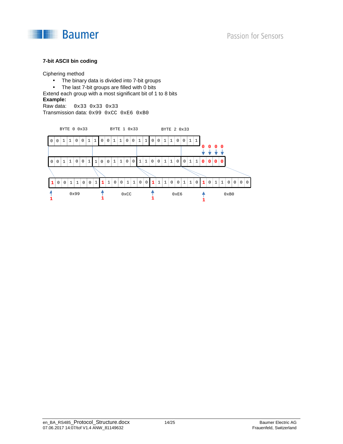

#### **7-bit ASCII bin coding**

Ciphering method

- The binary data is divided into 7-bit groups
- The last 7-bit groups are filled with 0 bits

Extend each group with a most significant bit of 1 to 8 bits **Example:** 

Raw data: 0x33 0x33 0x33 Transmission data: 0x99 0xCC 0xE6 0xB0

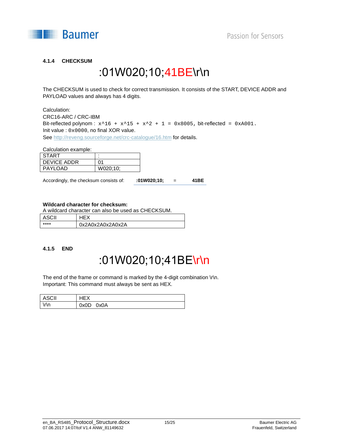

#### **4.1.4 CHECKSUM**

## :01W020;10;41BE\r\n

The CHECKSUM is used to check for correct transmission. It consists of the START, DEVICE ADDR and PAYLOAD values and always has 4 digits.

Calculation: CRC16-ARC / CRC-IBM Bit-reflected polynom :  $x^16 + x^15 + x^2 + 1 = 0x8005$ , bit-reflected = 0xA001. Init value : 0x0000, no final XOR value. See http://reveng.sourceforge.net/crc-catalogue/16.htm for details.

Calculation example:

| 01       |
|----------|
| W020;10; |
|          |

Accordingly, the checksum consists of: **:01W020;10;** = **41BE** 

#### **Wildcard character for checksum:**

| A wildcard character can also be used as CHECKSUM. |                  |  |
|----------------------------------------------------|------------------|--|
| ASCII                                              | <b>HEX</b>       |  |
| ****                                               | 0x2A0x2A0x2A0x2A |  |

#### **4.1.5 END**

## :01W020;10;41BE\r\n

The end of the frame or command is marked by the 4-digit combination \r\n. Important: This command must always be sent as HEX.

| ASCII | - 17         |
|-------|--------------|
| √r∖n  | 0x0A<br>0x0D |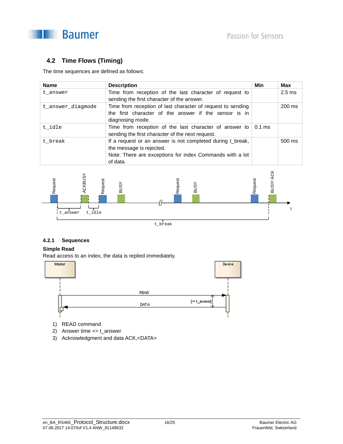

## **4.2 Time Flows (Timing)**

The time sequences are defined as follows:

| <b>Name</b>       | <b>Description</b>                                                                                                                                             | Min | Max              |
|-------------------|----------------------------------------------------------------------------------------------------------------------------------------------------------------|-----|------------------|
| t answer          | Time from reception of the last character of request to<br>sending the first character of the answer.                                                          |     | $2.5 \text{ ms}$ |
| t answer diagmode | Time from reception of last character of request to sending<br>the first character of the answer if the sensor is in<br>diagnosing mode.                       |     | 200 ms           |
| t idle            | Time from reception of the last character of answer to $\vert$ 0.1 ms<br>sending the first character of the next request.                                      |     |                  |
| t break           | If a request or an answer is not completed during t_break,<br>the message is rejected.<br>Note: There are exceptions for index Commands with a lot<br>of data. |     | 500 ms           |



#### **4.2.1 Sequences**

#### **Simple Read**

Read access to an index, the data is replied immediately.



- 1) READ command
- 2) Answer time <= t\_answer
- 3) Acknowledgment and data ACK,<DATA>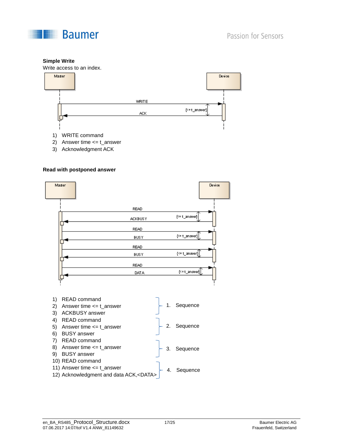

#### **Simple Write**

Write access to an index.



- 2) Answer time <= t\_answer
- 3) Acknowledgment ACK

#### **Read with postponed answer**

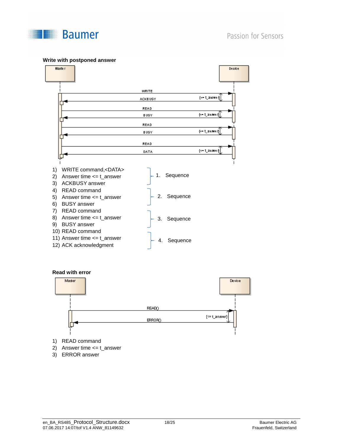

#### **Write with postponed answer**





- 1) READ command
- 2) Answer time <= t\_answer
- 3) ERROR answer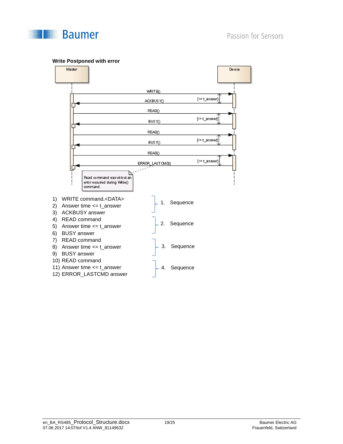



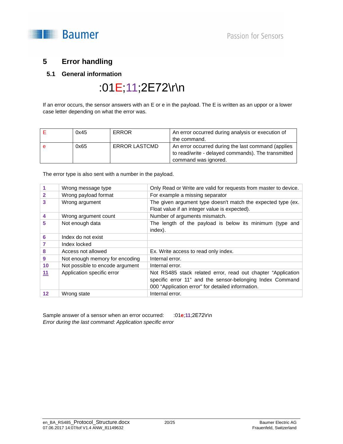

## **5 Error handling**

#### **5.1 General information**

## :01E;11;2E72\r\n

If an error occurs, the sensor answers with an E or e in the payload. The E is written as an uppor or a lower case letter depending on what the error was.

| 0x45 | <b>ERROR</b>         | An error occurred during analysis or execution of<br>the command.                                                                |
|------|----------------------|----------------------------------------------------------------------------------------------------------------------------------|
| 0x65 | <b>ERROR LASTCMD</b> | An error occurred during the last command (applies<br>to read/write - delayed commands). The transmitted<br>command was ignored. |

The error type is also sent with a number in the payload.

|              | Wrong message type              | Only Read or Write are valid for requests from master to device.                                                                                                                |
|--------------|---------------------------------|---------------------------------------------------------------------------------------------------------------------------------------------------------------------------------|
| $\mathbf{2}$ | Wrong payload format            | For example a missing separator                                                                                                                                                 |
| 3            | Wrong argument                  | The given argument type doesn't match the expected type (ex.<br>Float value if an integer value is expected).                                                                   |
| 4            | Wrong argument count            | Number of arguments mismatch.                                                                                                                                                   |
| 5            | Not enough data                 | The length of the payload is below its minimum (type and<br>index).                                                                                                             |
| 6            | Index do not exist              |                                                                                                                                                                                 |
|              | Index locked                    |                                                                                                                                                                                 |
| 8            | Access not allowed              | Ex. Write access to read only index.                                                                                                                                            |
| 9            | Not enough memory for encoding  | Internal error.                                                                                                                                                                 |
| 10           | Not possible to encode argument | Internal error.                                                                                                                                                                 |
| 11           | Application specific error      | Not RS485 stack related error, read out chapter "Application"<br>specific error 11" and the sensor-belonging Index Command<br>000 "Application error" for detailed information. |
| $12 \,$      | Wrong state                     | Internal error.                                                                                                                                                                 |

Sample answer of a sensor when an error occurred: :01e;11;2E72\r\n Error during the last command: Application specific error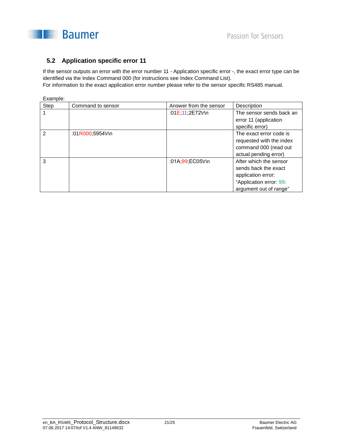

## **5.2 Application specific error 11**

If the sensor outputs an error with the error number 11 - Application specific error -, the exact error type can be identified via the Index Command 000 (for instructions see Index Command List).

For information to the exact application error number please refer to the sensor specific RS485 manual.

| Example: |
|----------|
|----------|

| Step          | Command to sensor | Answer from the sensor | Description              |
|---------------|-------------------|------------------------|--------------------------|
|               |                   | :01E;11;2E72\r\n       | The sensor sends back an |
|               |                   |                        | error 11 (application    |
|               |                   |                        | specific error)          |
| $\mathcal{P}$ | :01R000;5954\r\n  |                        | The exact error code is  |
|               |                   |                        | requested with the index |
|               |                   |                        | command 000 (read out    |
|               |                   |                        | actual pending error)    |
| 3             |                   | :01A;99;EC05\r\n       | After which the sensor   |
|               |                   |                        | sends back the exact     |
|               |                   |                        | application error:       |
|               |                   |                        | "Application error: 99:  |
|               |                   |                        | argument out of range"   |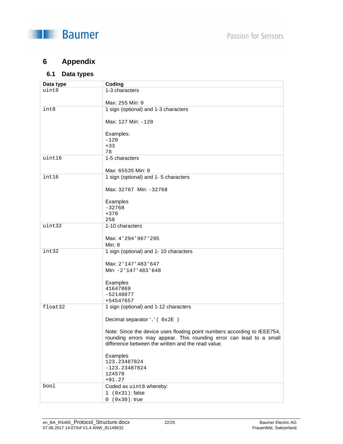

## **6 Appendix**

## **6.1 Data types**

| Data type | Coding                                                                   |
|-----------|--------------------------------------------------------------------------|
| uint8     | 1-3 characters                                                           |
|           |                                                                          |
|           | Max: 255 Min: 0                                                          |
| int8      | 1 sign (optional) and 1-3 characters                                     |
|           |                                                                          |
|           | Max: 127 Min: -128                                                       |
|           |                                                                          |
|           | Examples:<br>$-120$                                                      |
|           | $+33$                                                                    |
|           | 78                                                                       |
| uint16    | 1-5 characters                                                           |
|           |                                                                          |
|           | Max: 65535 Min: 0                                                        |
| int16     | 1 sign (optional) and 1-5 characters                                     |
|           |                                                                          |
|           | Max: 32767 Min: -32768                                                   |
|           |                                                                          |
|           | Examples                                                                 |
|           | $-32768$<br>$+378$                                                       |
|           | 258                                                                      |
| uint32    | 1-10 characters                                                          |
|           |                                                                          |
|           | Max: 4 ' 294 ' 967 ' 295                                                 |
|           | Min: 0                                                                   |
| int32     | 1 sign (optional) and 1-10 characters                                    |
|           |                                                                          |
|           | Max: 2'147'483'647                                                       |
|           | Min: -2'147'483'648                                                      |
|           |                                                                          |
|           | Examples<br>41647869                                                     |
|           | $-52148877$                                                              |
|           | +54547657                                                                |
| float32   | 1 sign (optional) and 1-12 characters                                    |
|           |                                                                          |
|           | Decimal separator '.' ( 0x2E )                                           |
|           |                                                                          |
|           | Note: Since the device uses floating point numbers according to IEEE754, |
|           | rounding errors may appear. This rounding error can lead to a small      |
|           | difference between the written and the read value.                       |
|           | Examples                                                                 |
|           | 123.23487824                                                             |
|           | $-123.23487824$                                                          |
|           | 124578                                                                   |
|           | $+91.27$                                                                 |
| bool      | Coded as uint8 whereby:                                                  |
|           | $1$ ( $0x31$ ): false                                                    |
|           | $0$ $(0x30)$ : true                                                      |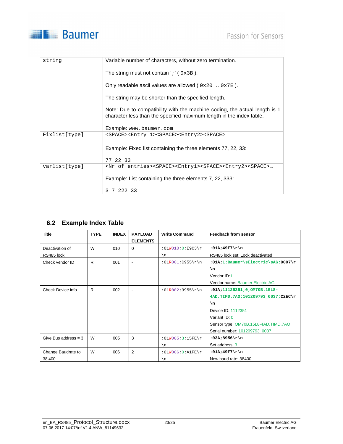

| string        | Variable number of characters, without zero termination.                                                                                           |
|---------------|----------------------------------------------------------------------------------------------------------------------------------------------------|
|               | The string must not contain $'$ ; $'$ ( $0 \times 3B$ ).                                                                                           |
|               | Only readable ascii values are allowed ( $0x200x7E$ ).                                                                                             |
|               | The string may be shorter than the specified length.                                                                                               |
|               | Note: Due to compatibility with the machine coding, the actual length is 1<br>character less than the specified maximum length in the index table. |
|               | Example: www.baumer.com                                                                                                                            |
| Fixlist[type] | <space><entry 1=""><space><entry2><space></space></entry2></space></entry></space>                                                                 |
|               | Example: Fixed list containing the three elements 77, 22, 33:                                                                                      |
|               | 77 22 33                                                                                                                                           |
| varlist[type] | <nr entries="" of=""><space><entry1><space><entry2><space></space></entry2></space></entry1></space></nr>                                          |
|               | Example: List containing the three elements 7, 22, 333:                                                                                            |
|               | 3 7 222 33                                                                                                                                         |

## **6.2 Example Index Table**

| <b>Title</b>           | <b>TYPE</b> | <b>INDEX</b> | <b>PAYLOAD</b><br><b>ELEMENTS</b> | <b>Write Command</b>       | <b>Feedback from sensor</b>          |
|------------------------|-------------|--------------|-----------------------------------|----------------------------|--------------------------------------|
|                        |             |              |                                   |                            |                                      |
| Deactivation of        | W           | 010          | $\Omega$                          | :01W010:0E9C3              | : $01A$ ; $49F7\rr\n$                |
| RS485 lock             |             |              |                                   | $\n\backslash$ n           | RS485 lock set: Lock deactivated     |
| Check vendor ID        | R           | 001          | $\overline{\phantom{a}}$          | $:01R001:C955\$            | :01A;1;Baumer\sElectric\sAG;0007\r   |
|                        |             |              |                                   |                            | $\mathbf{n}$                         |
|                        |             |              |                                   |                            | Vendor ID:1                          |
|                        |             |              |                                   |                            | Vendor name: Baumer Electric AG      |
| Check Device info      | R           | 002          | $\overline{\phantom{a}}$          | $:01R002:3955\$            | :01A;11125351;0;OM70B.15L8-          |
|                        |             |              |                                   |                            | 4AD. TIMD. 7AO;101209793_0037;C2EC\r |
|                        |             |              |                                   |                            | $\mathbf{n}$                         |
|                        |             |              |                                   |                            | Device ID: 1112351                   |
|                        |             |              |                                   |                            | Variant ID: 0                        |
|                        |             |              |                                   |                            | Sensor type: OM70B.15L8-4AD.TIMD.7AO |
|                        |             |              |                                   |                            | Serial number: 101209793_0037        |
| Give Bus address $=$ 3 | W           | 005          | 3                                 | $:01W005:3:15FE\rrbracket$ | :03A;8956\r\n                        |
|                        |             |              |                                   | $\n\langle n$              | Set address: 3                       |
| Change Baudrate to     | W           | 006          | $\overline{2}$                    | $:01W006:0:ALFE\$ r        | : $01A$ ; $49F7\rr\n$                |
| 38'400                 |             |              |                                   | $\n\langle n$              | New baud rate: 38400                 |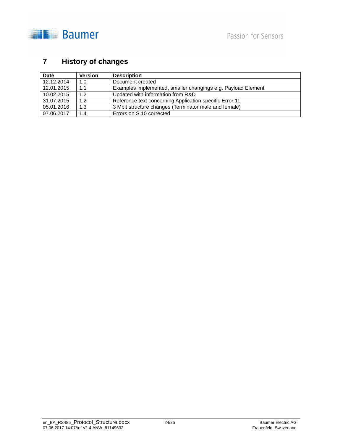

## **7 History of changes**

| Date       | <b>Version</b> | <b>Description</b>                                           |
|------------|----------------|--------------------------------------------------------------|
| 12.12.2014 | 1.0            | Document created                                             |
| 12.01.2015 | 1.1            | Examples implemented, smaller changings e.g. Payload Element |
| 10.02.2015 | 1.2            | Updated with information from R&D                            |
| 31.07.2015 | 1.2            | Reference text concerning Application specific Error 11      |
| 05.01.2016 | 1.3            | 3 Mbit structure changes (Terminator male and female)        |
| 07.06.2017 | 1.4            | Errors on S.10 corrected                                     |